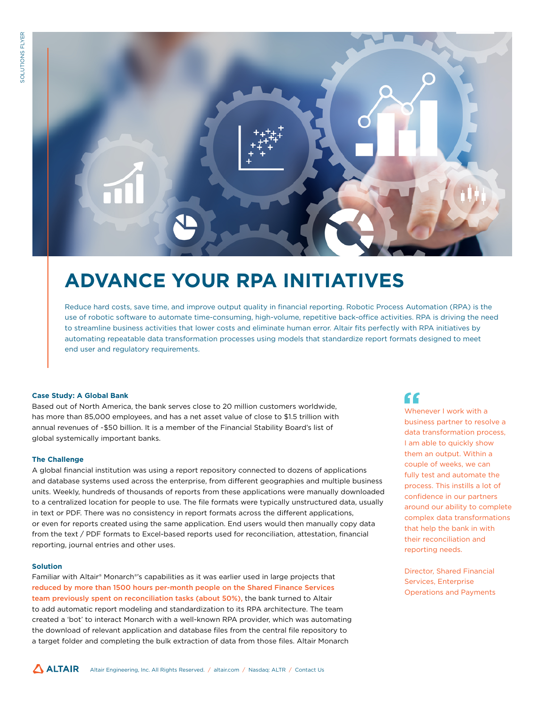

# **ADVANCE YOUR RPA INITIATIVES**

Reduce hard costs, save time, and improve output quality in financial reporting. Robotic Process Automation (RPA) is the use of robotic software to automate time-consuming, high-volume, repetitive back-office activities. RPA is driving the need to streamline business activities that lower costs and eliminate human error. Altair fits perfectly with RPA initiatives by automating repeatable data transformation processes using models that standardize report formats designed to meet end user and regulatory requirements.

### **Case Study: A Global Bank**

Based out of North America, the bank serves close to 20 million customers worldwide, has more than 85,000 employees, and has a net asset value of close to \$1.5 trillion with annual revenues of ~\$50 billion. It is a member of the Financial Stability Board's list of global systemically important banks.

#### **The Challenge**

A global financial institution was using a report repository connected to dozens of applications and database systems used across the enterprise, from different geographies and multiple business units. Weekly, hundreds of thousands of reports from these applications were manually downloaded to a centralized location for people to use. The file formats were typically unstructured data, usually in text or PDF. There was no consistency in report formats across the different applications, or even for reports created using the same application. End users would then manually copy data from the text / PDF formats to Excel-based reports used for reconciliation, attestation, financial reporting, journal entries and other uses.

#### **Solution**

Familiar with Altair® Monarch®'s capabilities as it was earlier used in large projects that reduced by more than 1500 hours per-month people on the Shared Finance Services team previously spent on reconciliation tasks (about 50%), the bank turned to Altair to add automatic report modeling and standardization to its RPA architecture. The team created a 'bot' to interact Monarch with a well-known RPA provider, which was automating the download of relevant application and database files from the central file repository to a target folder and completing the bulk extraction of data from those files. Altair Monarch

## "

Whenever I work with a business partner to resolve a data transformation process, I am able to quickly show them an output. Within a couple of weeks, we can fully test and automate the process. This instills a lot of confidence in our partners around our ability to complete complex data transformations that help the bank in with their reconciliation and reporting needs.

Director, Shared Financial Services, Enterprise Operations and Payments